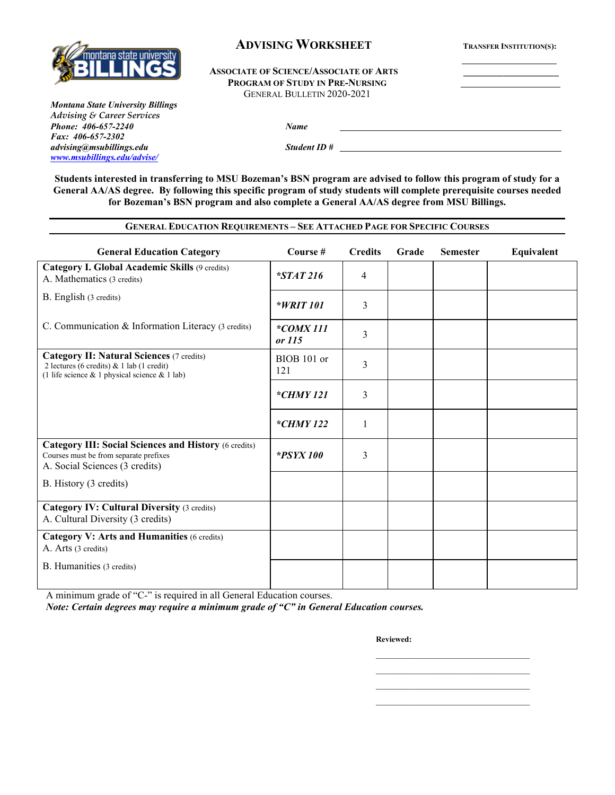

## **ADVISING WORKSHEET TRANSFER INSTITUTION(S):**

#### **ASSOCIATE OF SCIENCE/ASSOCIATE OF ARTS \_\_\_\_\_\_\_\_\_\_\_\_\_\_\_\_\_\_\_ PROGRAM OF STUDY IN PRE-NURSING** GENERAL BULLETIN 2020-2021

*Montana State University Billings Advising & Career Services Phone: 406-657-2240 Name Fax: 406-657-2302 advising@msubillings.edu Student ID # [www.msubillings.edu/advise/](http://www.msubillings.edu/advise/)*

**Students interested in transferring to MSU Bozeman's BSN program are advised to follow this program of study for a General AA/AS degree. By following this specific program of study students will complete prerequisite courses needed for Bozeman's BSN program and also complete a General AA/AS degree from MSU Billings.**

**GENERAL EDUCATION REQUIREMENTS – SEE ATTACHED PAGE FOR SPECIFIC COURSES**

## **General Education Category Course # Credits Grade Semester Equivalent Category I. Global Academic Skills** (9 credits) A. Mathematics (3 credits)  $*STAT\ 216$  4 B. English (3 credits) *\*WRIT 101* 3 C. Communication & Information Literacy (3 credits) *\*COMX 111*   $\begin{array}{c|c}\n\hline\n\text{COMA III} \\
\text{or } \text{I15}\n\end{array}$  3 **Category II: Natural Sciences** (7 credits) 2 lectures (6 credits) & 1 lab (1 credit) (1 life science & 1 physical science & 1 lab) BIOB 101 or  $121$  3 *\*CHMY 121* 3 *\*CHMY 122* 1 **Category III: Social Sciences and History** (6 credits) Courses must be from separate prefixes A. Social Sciences (3 credits) *\*PSYX 100* 3 B. History (3 credits) **Category IV: Cultural Diversity** (3 credits) A. Cultural Diversity (3 credits) **Category V: Arts and Humanities** (6 credits) A. Arts (3 credits) B. Humanities (3 credits)

A minimum grade of "C-" is required in all General Education courses.

*Note: Certain degrees may require a minimum grade of "C" in General Education courses.* 

**Reviewed:**

\_\_\_\_\_\_\_\_\_\_\_\_\_\_\_\_\_\_\_\_\_\_\_\_\_\_\_\_\_\_\_\_\_\_ \_\_\_\_\_\_\_\_\_\_\_\_\_\_\_\_\_\_\_\_\_\_\_\_\_\_\_\_\_\_\_\_\_\_

\_\_\_\_\_\_\_\_\_\_\_\_\_\_\_\_\_\_\_\_\_\_\_\_\_\_\_\_\_\_\_\_\_\_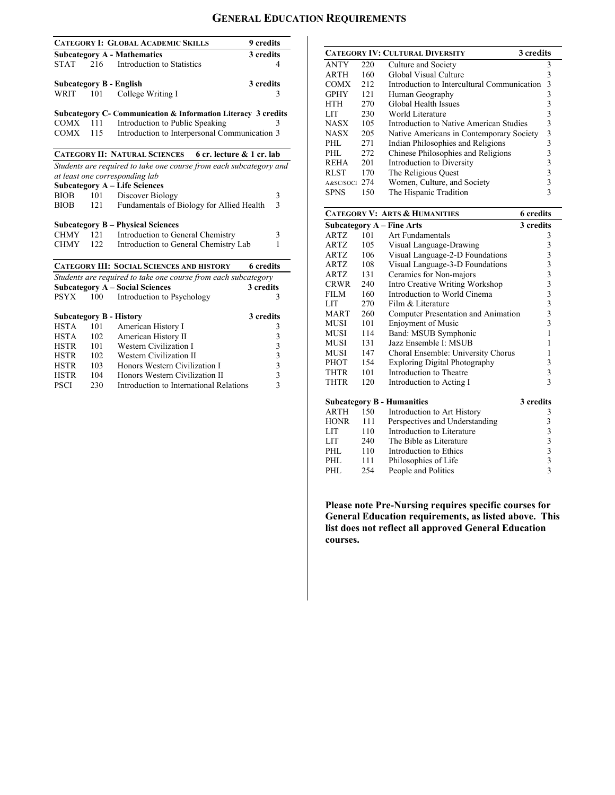# **GENERAL EDUCATION REQUIREMENTS**

|                                                                      |     | <b>CATEGORY I: GLOBAL ACADEMIC SKILLS</b>                                | 9 credits               |  |  |  |
|----------------------------------------------------------------------|-----|--------------------------------------------------------------------------|-------------------------|--|--|--|
|                                                                      |     | <b>Subcategory A - Mathematics</b>                                       | 3 credits               |  |  |  |
| <b>STAT</b>                                                          | 216 | Introduction to Statistics                                               | 4                       |  |  |  |
|                                                                      |     |                                                                          |                         |  |  |  |
|                                                                      |     | <b>Subcategory B - English</b>                                           | 3 credits               |  |  |  |
| WRIT                                                                 | 101 | College Writing I                                                        | 3                       |  |  |  |
|                                                                      |     |                                                                          |                         |  |  |  |
|                                                                      |     | <b>Subcategory C- Communication &amp; Information Literacy 3 credits</b> |                         |  |  |  |
| $COMX$ 111                                                           |     | Introduction to Public Speaking                                          | 3                       |  |  |  |
| COMX                                                                 | 115 | Introduction to Interpersonal Communication 3                            |                         |  |  |  |
|                                                                      |     | <b>CATEGORY II: NATURAL SCIENCES</b><br>6 cr. lecture & 1 cr. lab        |                         |  |  |  |
|                                                                      |     | Students are required to take one course from each subcategory and       |                         |  |  |  |
|                                                                      |     | at least one corresponding lab                                           |                         |  |  |  |
|                                                                      |     | <b>Subcategory A - Life Sciences</b>                                     |                         |  |  |  |
| BIOB                                                                 | 101 | Discover Biology                                                         | 3                       |  |  |  |
| <b>BIOB</b>                                                          | 121 | Fundamentals of Biology for Allied Health                                | $\overline{\mathbf{3}}$ |  |  |  |
|                                                                      |     |                                                                          |                         |  |  |  |
|                                                                      |     | <b>Subcategory B – Physical Sciences</b>                                 |                         |  |  |  |
| <b>CHMY</b>                                                          | 121 | Introduction to General Chemistry                                        | 3                       |  |  |  |
| <b>CHMY</b>                                                          | 122 | Introduction to General Chemistry Lab                                    | 1                       |  |  |  |
|                                                                      |     |                                                                          |                         |  |  |  |
| <b>CATEGORY III: SOCIAL SCIENCES AND HISTORY</b><br><b>6</b> credits |     |                                                                          |                         |  |  |  |
|                                                                      |     | Students are required to take one course from each subcategory           |                         |  |  |  |
|                                                                      |     | <b>Subcategory A - Social Sciences</b>                                   | 3 credits               |  |  |  |
| <b>PSYX</b>                                                          | 100 | Introduction to Psychology                                               | 3                       |  |  |  |
|                                                                      |     |                                                                          |                         |  |  |  |
|                                                                      |     | <b>Subcategory B - History</b>                                           | 3 credits               |  |  |  |
| <b>HSTA</b>                                                          | 101 | American History I                                                       | 3                       |  |  |  |
| <b>HSTA</b>                                                          | 102 | American History II                                                      |                         |  |  |  |
| <b>HSTR</b>                                                          | 101 | Western Civilization I                                                   |                         |  |  |  |
| <b>HSTR</b>                                                          | 102 | Western Civilization II                                                  |                         |  |  |  |
| <b>HSTR</b>                                                          | 103 | Honors Western Civilization I                                            |                         |  |  |  |
| <b>HSTR</b>                                                          | 104 | Honors Western Civilization II                                           | 33333                   |  |  |  |
| <b>PSCI</b>                                                          | 230 | Introduction to International Relations                                  |                         |  |  |  |
|                                                                      |     |                                                                          |                         |  |  |  |

|               |     | <b>CATEGORY IV: CULTURAL DIVERSITY</b><br>3 credits |   |
|---------------|-----|-----------------------------------------------------|---|
| <b>ANTY</b>   | 220 | Culture and Society                                 | 3 |
| <b>ARTH</b>   | 160 | Global Visual Culture                               | 3 |
| <b>COMX</b>   | 212 | Introduction to Intercultural Communication         | 3 |
| <b>GPHY</b>   | 121 | Human Geography                                     | 3 |
| <b>HTH</b>    | 270 | Global Health Issues                                | 3 |
| LIT           | 230 | World Literature                                    |   |
| <b>NASX</b>   | 105 | Introduction to Native American Studies             | 3 |
| <b>NASX</b>   | 205 | Native Americans in Contemporary Society            | 3 |
| PHL           | 271 | Indian Philosophies and Religions                   | 3 |
| PHL.          | 272 | Chinese Philosophies and Religions                  |   |
| <b>REHA</b>   | 201 | Introduction to Diversity                           |   |
| <b>RLST</b>   | 170 | The Religious Quest                                 |   |
| A&SC/SOCI 274 |     | Women, Culture, and Society                         |   |
| SPNS          | 150 | The Hispanic Tradition                              |   |

| <b>CATEGORY V: ARTS &amp; HUMANITIES</b><br><b>6</b> credits |     |                                      |                                                 |  |  |
|--------------------------------------------------------------|-----|--------------------------------------|-------------------------------------------------|--|--|
| <b>Subcategory A - Fine Arts</b>                             |     |                                      | 3 credits                                       |  |  |
| ARTZ                                                         | 101 | Art Fundamentals                     | 3                                               |  |  |
| ARTZ                                                         | 105 | Visual Language-Drawing              |                                                 |  |  |
| ARTZ                                                         | 106 | Visual Language-2-D Foundations      |                                                 |  |  |
| ARTZ                                                         | 108 | Visual Language-3-D Foundations      |                                                 |  |  |
| <b>ARTZ</b>                                                  | 131 | Ceramics for Non-majors              |                                                 |  |  |
| <b>CRWR</b>                                                  | 240 | Intro Creative Writing Workshop      |                                                 |  |  |
| <b>FILM</b>                                                  | 160 | Introduction to World Cinema         |                                                 |  |  |
| LIT                                                          | 270 | Film & Literature                    |                                                 |  |  |
| <b>MART</b>                                                  | 260 | Computer Presentation and Animation  | 33333333333                                     |  |  |
| MUSI –                                                       | 101 | <b>Enjoyment of Music</b>            |                                                 |  |  |
| <b>MUSI</b>                                                  | 114 | Band: MSUB Symphonic                 | 1                                               |  |  |
| <b>MUSI</b>                                                  | 131 | Jazz Ensemble I: MSUB                | 1                                               |  |  |
| MUSI                                                         | 147 | Choral Ensemble: University Chorus   | 1                                               |  |  |
| PHOT                                                         | 154 | <b>Exploring Digital Photography</b> | 3                                               |  |  |
| THTR                                                         | 101 | Introduction to Theatre              | $\overline{\mathbf{3}}$                         |  |  |
| THTR                                                         | 120 | Introduction to Acting I             | 3                                               |  |  |
| <b>Subcategory B - Humanities</b>                            |     |                                      | 3 credits                                       |  |  |
| <b>ARTH</b>                                                  | 150 | Introduction to Art History          | 3                                               |  |  |
| <b>HONR</b>                                                  | 111 | Perspectives and Understanding       | 3                                               |  |  |
| <b>LIT</b>                                                   | 110 | Introduction to Literature           |                                                 |  |  |
| LIT                                                          | 240 | The Bible as Literature              | $\begin{array}{c} 3 \\ 3 \\ 3 \\ 3 \end{array}$ |  |  |
| PHL.                                                         | 110 | Introduction to Ethics               |                                                 |  |  |
| PHL.                                                         | 111 | Philosophies of Life                 |                                                 |  |  |
| PHL                                                          | 254 | People and Politics                  |                                                 |  |  |

**Please note Pre-Nursing requires specific courses for General Education requirements, as listed above. This list does not reflect all approved General Education courses.**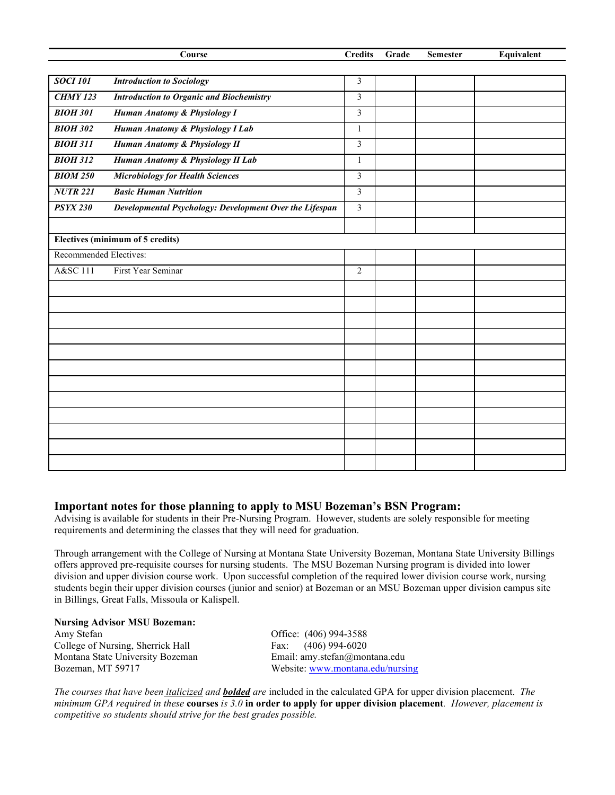|                        | Course                                                  | <b>Credits</b>          | Grade | <b>Semester</b> | Equivalent |
|------------------------|---------------------------------------------------------|-------------------------|-------|-----------------|------------|
|                        |                                                         |                         |       |                 |            |
| <b>SOCI 101</b>        | <b>Introduction to Sociology</b>                        | 3                       |       |                 |            |
| <b>CHMY 123</b>        | <b>Introduction to Organic and Biochemistry</b>         | $\mathfrak{Z}$          |       |                 |            |
| <b>BIOH 301</b>        | Human Anatomy & Physiology I                            | 3                       |       |                 |            |
| <b>BIOH 302</b>        | Human Anatomy & Physiology I Lab                        | $\mathbf{1}$            |       |                 |            |
| <b>BIOH 311</b>        | Human Anatomy & Physiology II                           | $\overline{3}$          |       |                 |            |
| <b>BIOH 312</b>        | Human Anatomy & Physiology II Lab                       | $\mathbf{1}$            |       |                 |            |
| <b>BIOM 250</b>        | <b>Microbiology for Health Sciences</b>                 | $\overline{\mathbf{3}}$ |       |                 |            |
| <b>NUTR 221</b>        | <b>Basic Human Nutrition</b>                            | 3                       |       |                 |            |
| <b>PSYX 230</b>        | Developmental Psychology: Development Over the Lifespan | $\overline{\mathbf{3}}$ |       |                 |            |
|                        |                                                         |                         |       |                 |            |
|                        | Electives (minimum of 5 credits)                        |                         |       |                 |            |
| Recommended Electives: |                                                         |                         |       |                 |            |
| A&SC 111               | First Year Seminar                                      | $\overline{2}$          |       |                 |            |
|                        |                                                         |                         |       |                 |            |
|                        |                                                         |                         |       |                 |            |
|                        |                                                         |                         |       |                 |            |
|                        |                                                         |                         |       |                 |            |
|                        |                                                         |                         |       |                 |            |
|                        |                                                         |                         |       |                 |            |
|                        |                                                         |                         |       |                 |            |
|                        |                                                         |                         |       |                 |            |
|                        |                                                         |                         |       |                 |            |
|                        |                                                         |                         |       |                 |            |
|                        |                                                         |                         |       |                 |            |
|                        |                                                         |                         |       |                 |            |

### **Important notes for those planning to apply to MSU Bozeman's BSN Program:**

Advising is available for students in their Pre-Nursing Program. However, students are solely responsible for meeting requirements and determining the classes that they will need for graduation.

Through arrangement with the College of Nursing at Montana State University Bozeman, Montana State University Billings offers approved pre-requisite courses for nursing students. The MSU Bozeman Nursing program is divided into lower division and upper division course work. Upon successful completion of the required lower division course work, nursing students begin their upper division courses (junior and senior) at Bozeman or an MSU Bozeman upper division campus site in Billings, Great Falls, Missoula or Kalispell.

# **Nursing Advisor MSU Bozeman:**

College of Nursing, Sherrick Hall Montana State University Bozeman Email: amy.stefan@montana.edu

Office: (406) 994-3588<br>Fax: (406) 994-6020 Bozeman, MT 59717 Website: [www.montana.edu/nursing](http://www.montana.edu/nursing)

*The courses that have been italicized and bolded are* included in the calculated GPA for upper division placement. *The minimum GPA required in these* **courses** *is 3.0* **in order to apply for upper division placement***. However, placement is competitive so students should strive for the best grades possible.*